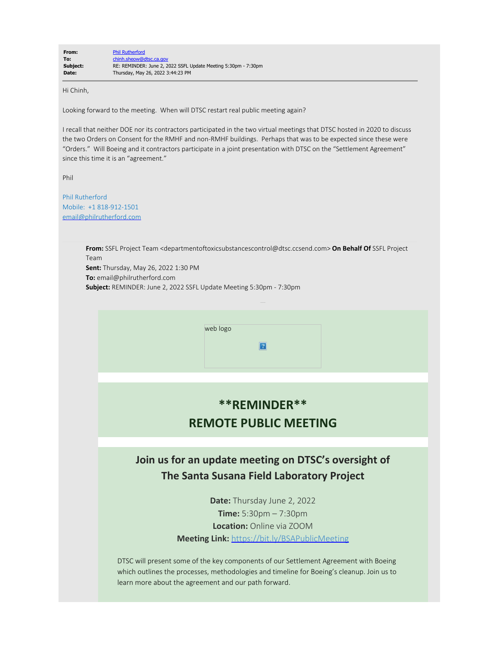Hi Chinh,

Looking forward to the meeting. When will DTSC restart real public meeting again?

I recall that neither DOE nor its contractors participated in the two virtual meetings that DTSC hosted in 2020 to discuss the two Orders on Consent for the RMHF and non-RMHF buildings. Perhaps that was to be expected since these were "Orders." Will Boeing and it contractors participate in a joint presentation with DTSC on the "Settlement Agreement" since this time it is an "agreement."

Phil

Phil Rutherford Mobile: +1 818-912-1501 [email@philrutherford.com](mailto:email@philrutherford.com)

> **From:** SSFL Project Team <departmentoftoxicsubstancescontrol@dtsc.ccsend.com> **On Behalf Of** SSFL Project Team

**Sent:** Thursday, May 26, 2022 1:30 PM **To:** email@philrutherford.com **Subject:** REMINDER: June 2, 2022 SSFL Update Meeting 5:30pm - 7:30pm

web logo

## **\*\*REMINDER\*\* REMOTE PUBLIC MEETING**

 $|2|$ 

## **Join us for an update meeting on DTSC's oversight of The Santa Susana Field Laboratory Project**

**Date:** Thursday June 2, 2022 **Time:** 5:30pm – 7:30pm **Location:** Online via ZOOM **Meeting Link:** [https://bit.ly/BSAPublicMeeting](https://r20.rs6.net/tn.jsp?f=0010bC0CXSWIJQyeDu_ubqu3Q8P5n2NiP4Wqy944EfINROjPa5FJuis8h9Gl464hbUYDcUscMlGCwfLU4Exn-HZoUerrIjVyHAzElOAe188Ujxc29FkTdG7SoPyNHQ06eBZPhR7BgM-PkJs8sMRtlpUO6uwT5H1MaHP&c=pumGL3k6VToTEXdymuoeUkIQsiY11G5kvyJd00ZUV5aSfg4Kd565OA==&ch=41MaLT6K7CeCuYKGZ4wbCl2153zvsFIzM3nnT4td77lqXNdJhIBFdQ==)

DTSC will present some of the key components of our Settlement Agreement with Boeing which outlines the processes, methodologies and timeline for Boeing's cleanup. Join us to learn more about the agreement and our path forward.